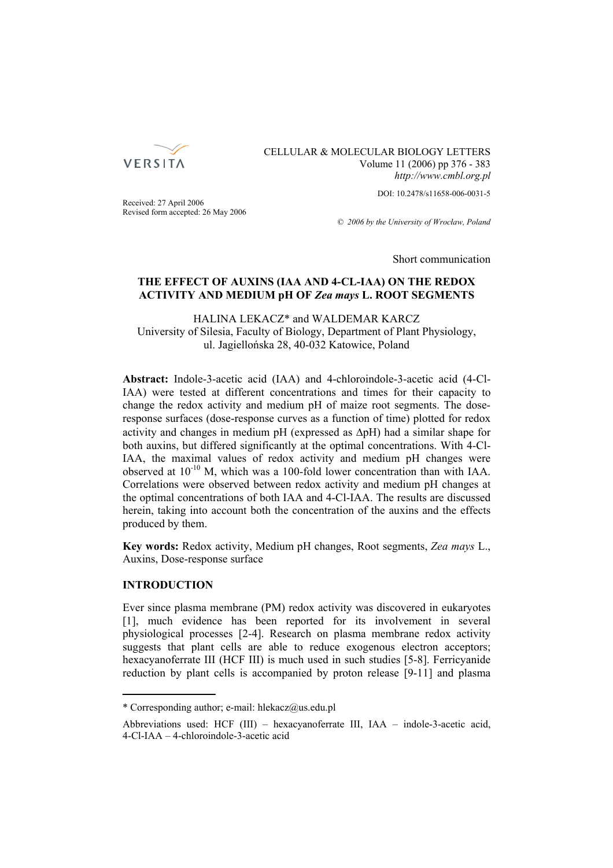

CELLULAR & MOLECULAR BIOLOGY LETTERS Volume 11 (2006) pp 376 - 383 *http://www.cmbl.org.pl*

DOI: 10.2478/s11658-006-0031-5

Received: 27 April 2006 Revised form accepted: 26 May 2006

*© 2006 by the University of Wrocław, Poland*

Short communication

# **THE EFFECT OF AUXINS (IAA AND 4-CL-IAA) ON THE REDOX ACTIVITY AND MEDIUM pH OF** *Zea mays* **L. ROOT SEGMENTS**

HALINA LEKACZ\* and WALDEMAR KARCZ University of Silesia, Faculty of Biology, Department of Plant Physiology, ul. Jagiellońska 28, 40-032 Katowice, Poland

**Abstract:** Indole-3-acetic acid (IAA) and 4-chloroindole-3-acetic acid (4-Cl-IAA) were tested at different concentrations and times for their capacity to change the redox activity and medium pH of maize root segments. The doseresponse surfaces (dose-response curves as a function of time) plotted for redox activity and changes in medium pH (expressed as  $\Delta pH$ ) had a similar shape for both auxins, but differed significantly at the optimal concentrations. With 4-Cl-IAA, the maximal values of redox activity and medium pH changes were observed at  $10^{-10}$  M, which was a 100-fold lower concentration than with IAA. Correlations were observed between redox activity and medium pH changes at the optimal concentrations of both IAA and 4-Cl-IAA. The results are discussed herein, taking into account both the concentration of the auxins and the effects produced by them.

**Key words:** Redox activity, Medium pH changes, Root segments, *Zea mays* L., Auxins, Dose-response surface

## **INTRODUCTION**

Ever since plasma membrane (PM) redox activity was discovered in eukaryotes [1], much evidence has been reported for its involvement in several physiological processes [2-4]. Research on plasma membrane redox activity suggests that plant cells are able to reduce exogenous electron acceptors; hexacyanoferrate III (HCF III) is much used in such studies [5-8]. Ferricyanide reduction by plant cells is accompanied by proton release [9-11] and plasma

<sup>\*</sup> Corresponding author; e-mail: hlekacz@us.edu.pl

Abbreviations used: HCF (III) – hexacyanoferrate III, IAA – indole-3-acetic acid, 4-Cl-IAA – 4-chloroindole-3-acetic acid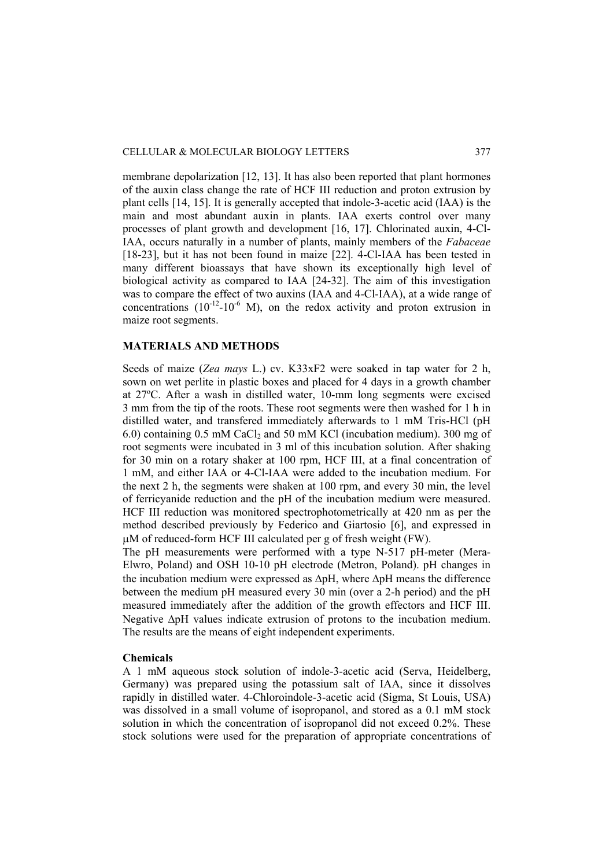membrane depolarization [12, 13]. It has also been reported that plant hormones of the auxin class change the rate of HCF III reduction and proton extrusion by plant cells [14, 15]. It is generally accepted that indole-3-acetic acid (IAA) is the main and most abundant auxin in plants. IAA exerts control over many processes of plant growth and development [16, 17]. Chlorinated auxin, 4-Cl-IAA, occurs naturally in a number of plants, mainly members of the *Fabaceae*  [18-23], but it has not been found in maize [22]. 4-Cl-IAA has been tested in many different bioassays that have shown its exceptionally high level of biological activity as compared to IAA [24-32]. The aim of this investigation was to compare the effect of two auxins (IAA and 4-Cl-IAA), at a wide range of concentrations  $(10^{-12}-10^{-6}$  M), on the redox activity and proton extrusion in maize root segments.

## **MATERIALS AND METHODS**

Seeds of maize (*Zea mays* L.) cv. K33xF2 were soaked in tap water for 2 h, sown on wet perlite in plastic boxes and placed for 4 days in a growth chamber at 27ºC. After a wash in distilled water, 10-mm long segments were excised 3 mm from the tip of the roots. These root segments were then washed for 1 h in distilled water, and transfered immediately afterwards to 1 mM Tris-HCl (pH 6.0) containing  $0.5$  mM CaCl<sub>2</sub> and 50 mM KCl (incubation medium). 300 mg of root segments were incubated in 3 ml of this incubation solution. After shaking for 30 min on a rotary shaker at 100 rpm, HCF III, at a final concentration of 1 mM, and either IAA or 4-Cl-IAA were added to the incubation medium. For the next 2 h, the segments were shaken at 100 rpm, and every 30 min, the level of ferricyanide reduction and the pH of the incubation medium were measured. HCF III reduction was monitored spectrophotometrically at 420 nm as per the method described previously by Federico and Giartosio [6], and expressed in μM of reduced-form HCF III calculated per g of fresh weight (FW).

The pH measurements were performed with a type N-517 pH-meter (Mera-Elwro, Poland) and OSH 10-10 pH electrode (Metron, Poland). pH changes in the incubation medium were expressed as ΔpH, where ΔpH means the difference between the medium pH measured every  $30$  min (over a 2-h period) and the pH measured immediately after the addition of the growth effectors and HCF III. Negative ΔpH values indicate extrusion of protons to the incubation medium. The results are the means of eight independent experiments.

#### **Chemicals**

A 1 mM aqueous stock solution of indole-3-acetic acid (Serva, Heidelberg, Germany) was prepared using the potassium salt of IAA, since it dissolves rapidly in distilled water. 4-Chloroindole-3-acetic acid (Sigma, St Louis, USA) was dissolved in a small volume of isopropanol, and stored as a 0.1 mM stock solution in which the concentration of isopropanol did not exceed 0.2%. These stock solutions were used for the preparation of appropriate concentrations of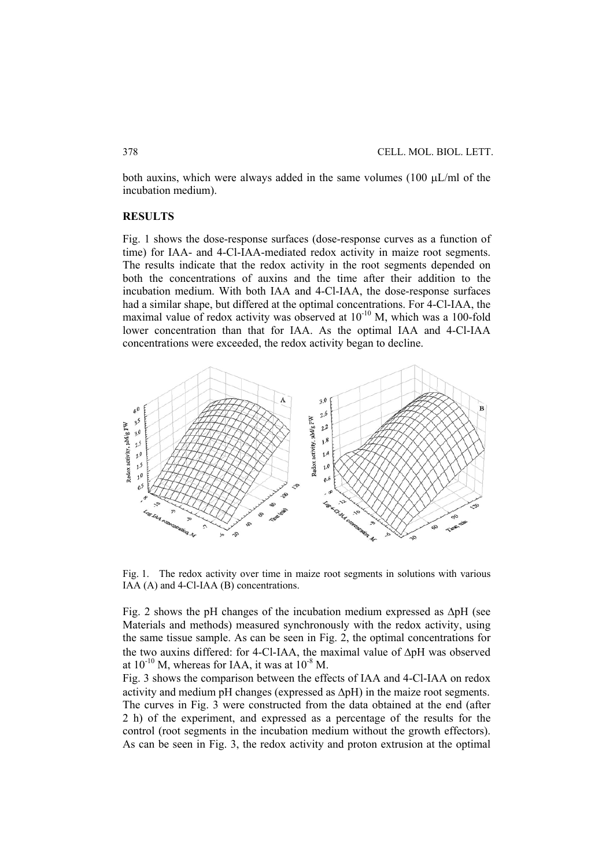both auxins, which were always added in the same volumes (100 μL/ml of the incubation medium).

#### **RESULTS**

Fig. 1 shows the dose-response surfaces (dose-response curves as a function of time) for IAA- and 4-Cl-IAA-mediated redox activity in maize root segments. The results indicate that the redox activity in the root segments depended on both the concentrations of auxins and the time after their addition to the incubation medium. With both IAA and 4-Cl-IAA, the dose-response surfaces had a similar shape, but differed at the optimal concentrations. For 4-Cl-IAA, the maximal value of redox activity was observed at  $10^{-10}$  M, which was a 100-fold lower concentration than that for IAA. As the optimal IAA and 4-Cl-IAA concentrations were exceeded, the redox activity began to decline.



Fig. 1. The redox activity over time in maize root segments in solutions with various IAA (A) and 4-Cl-IAA (B) concentrations.

Fig. 2 shows the pH changes of the incubation medium expressed as  $\Delta pH$  (see Materials and methods) measured synchronously with the redox activity, using the same tissue sample. As can be seen in Fig. 2, the optimal concentrations for the two auxins differed: for 4-Cl-IAA, the maximal value of ΔpH was observed at  $10^{-10}$  M, whereas for IAA, it was at  $10^{-8}$  M.

Fig. 3 shows the comparison between the effects of IAA and 4-Cl-IAA on redox activity and medium pH changes (expressed as ΔpH) in the maize root segments. The curves in Fig. 3 were constructed from the data obtained at the end (after 2 h) of the experiment, and expressed as a percentage of the results for the control (root segments in the incubation medium without the growth effectors). As can be seen in Fig. 3, the redox activity and proton extrusion at the optimal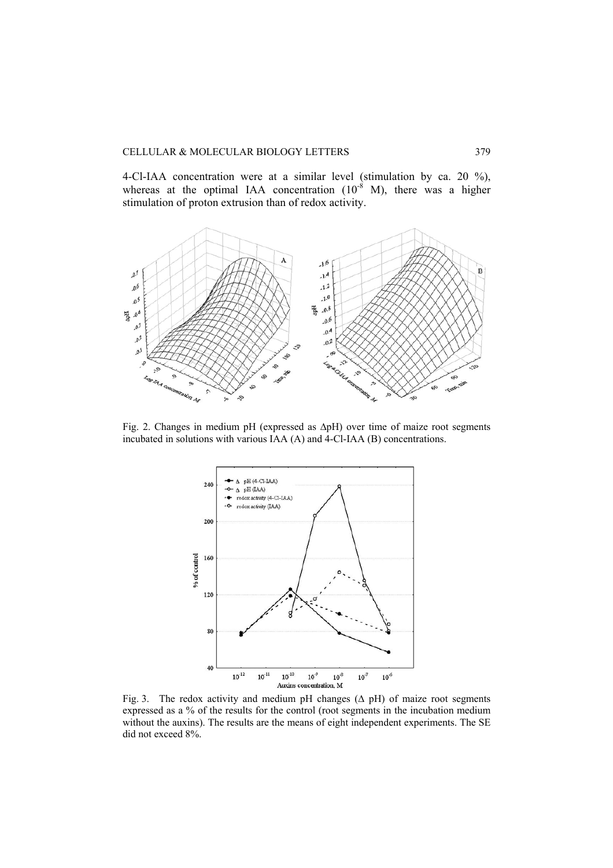4-Cl-IAA concentration were at a similar level (stimulation by ca. 20 %), whereas at the optimal IAA concentration  $(10^{-8}$  M), there was a higher stimulation of proton extrusion than of redox activity.



Fig. 2. Changes in medium pH (expressed as ΔpH) over time of maize root segments incubated in solutions with various IAA (A) and 4-Cl-IAA (B) concentrations.



Fig. 3. The redox activity and medium pH changes  $(Δ pH)$  of maize root segments expressed as a % of the results for the control (root segments in the incubation medium without the auxins). The results are the means of eight independent experiments. The SE did not exceed 8%.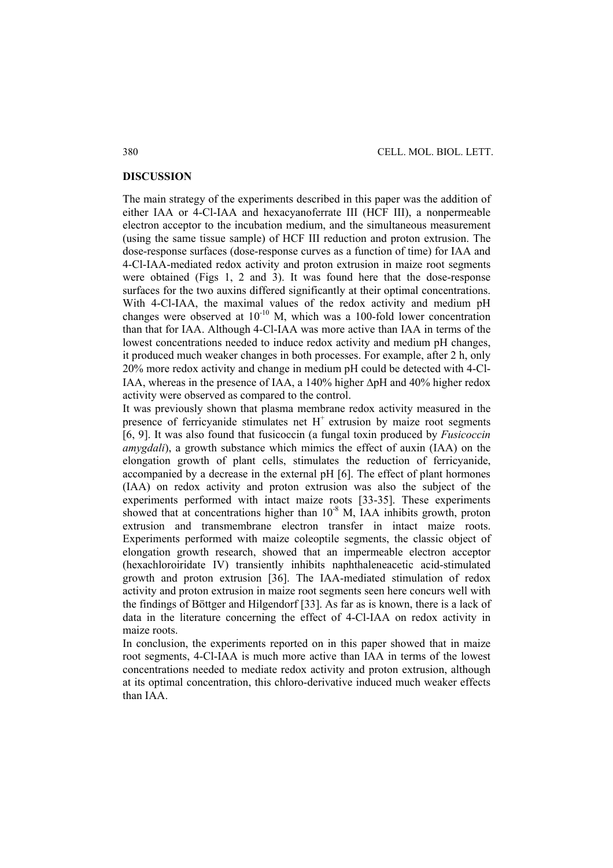### **DISCUSSION**

The main strategy of the experiments described in this paper was the addition of either IAA or 4-Cl-IAA and hexacyanoferrate III (HCF III), a nonpermeable electron acceptor to the incubation medium, and the simultaneous measurement (using the same tissue sample) of HCF III reduction and proton extrusion. The dose-response surfaces (dose-response curves as a function of time) for IAA and 4-Cl-IAA-mediated redox activity and proton extrusion in maize root segments were obtained (Figs 1, 2 and 3). It was found here that the dose-response surfaces for the two auxins differed significantly at their optimal concentrations. With 4-Cl-IAA, the maximal values of the redox activity and medium pH changes were observed at  $10^{-10}$  M, which was a 100-fold lower concentration than that for IAA. Although 4-Cl-IAA was more active than IAA in terms of the lowest concentrations needed to induce redox activity and medium pH changes, it produced much weaker changes in both processes. For example, after 2 h, only 20% more redox activity and change in medium pH could be detected with 4-Cl-IAA, whereas in the presence of IAA, a 140% higher ΔpH and 40% higher redox activity were observed as compared to the control.

It was previously shown that plasma membrane redox activity measured in the presence of ferricyanide stimulates net  $H<sup>+</sup>$  extrusion by maize root segments [6, 9]. It was also found that fusicoccin (a fungal toxin produced by *Fusicoccin amygdali*), a growth substance which mimics the effect of auxin (IAA) on the elongation growth of plant cells, stimulates the reduction of ferricyanide, accompanied by a decrease in the external pH [6]. The effect of plant hormones (IAA) on redox activity and proton extrusion was also the subject of the experiments performed with intact maize roots [33-35]. These experiments showed that at concentrations higher than  $10^{-8}$  M, IAA inhibits growth, proton extrusion and transmembrane electron transfer in intact maize roots. Experiments performed with maize coleoptile segments, the classic object of elongation growth research, showed that an impermeable electron acceptor (hexachloroiridate IV) transiently inhibits naphthaleneacetic acid-stimulated growth and proton extrusion [36]. The IAA-mediated stimulation of redox activity and proton extrusion in maize root segments seen here concurs well with the findings of Böttger and Hilgendorf [33]. As far as is known, there is a lack of data in the literature concerning the effect of 4-Cl-IAA on redox activity in maize roots.

In conclusion, the experiments reported on in this paper showed that in maize root segments, 4-Cl-IAA is much more active than IAA in terms of the lowest concentrations needed to mediate redox activity and proton extrusion, although at its optimal concentration, this chloro-derivative induced much weaker effects than IAA.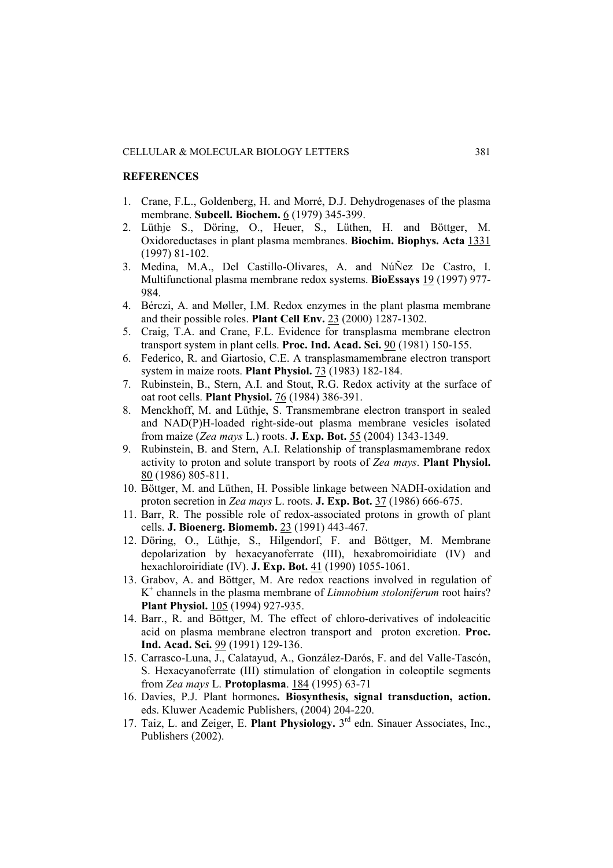### **REFERENCES**

- 1. Crane, F.L., Goldenberg, H. and Morré, D.J. Dehydrogenases of the plasma membrane. **Subcell. Biochem.** 6 (1979) 345-399.
- 2. Lüthje S., Döring, O., Heuer, S., Lüthen, H. and Böttger, M. Oxidoreductases in plant plasma membranes. **Biochim. Biophys. Acta** 1331 (1997) 81-102.
- 3. Medina, M.A., Del Castillo-Olivares, A. and NúÑez De Castro, I. Multifunctional plasma membrane redox systems. **BioEssays** 19 (1997) 977- 984.
- 4. Bérczi, A. and Møller, I.M. Redox enzymes in the plant plasma membrane and their possible roles. **Plant Cell Env.** 23 (2000) 1287-1302.
- 5. Craig, T.A. and Crane, F.L. Evidence for transplasma membrane electron transport system in plant cells. **Proc. Ind. Acad. Sci.** 90 (1981) 150-155.
- 6. Federico, R. and Giartosio, C.E. A transplasmamembrane electron transport system in maize roots. **Plant Physiol.** 73 (1983) 182-184.
- 7. Rubinstein, B., Stern, A.I. and Stout, R.G. Redox activity at the surface of oat root cells. **Plant Physiol.** 76 (1984) 386-391.
- 8. Menckhoff, M. and Lüthje, S. Transmembrane electron transport in sealed and NAD(P)H-loaded right-side-out plasma membrane vesicles isolated from maize (*Zea mays* L.) roots. **J. Exp. Bot.** 55 (2004) 1343-1349.
- 9. Rubinstein, B. and Stern, A.I. Relationship of transplasmamembrane redox activity to proton and solute transport by roots of *Zea mays*. **Plant Physiol.** 80 (1986) 805-811.
- 10. Böttger, M. and Lüthen, H. Possible linkage between NADH-oxidation and proton secretion in *Zea mays* L. roots. **J. Exp. Bot.** 37 (1986) 666-675.
- 11. Barr, R. The possible role of redox-associated protons in growth of plant cells. **J. Bioenerg. Biomemb.** 23 (1991) 443-467.
- 12. Döring, O., Lüthje, S., Hilgendorf, F. and Böttger, M. Membrane depolarization by hexacyanoferrate (III), hexabromoiridiate (IV) and hexachloroiridiate (IV). **J. Exp. Bot.** 41 (1990) 1055-1061.
- 13. Grabov, A. and Böttger, M. Are redox reactions involved in regulation of K+ channels in the plasma membrane of *Limnobium stoloniferum* root hairs? **Plant Physiol.** 105 (1994) 927-935.
- 14. Barr., R. and Böttger, M. The effect of chloro-derivatives of indoleacitic acid on plasma membrane electron transport and proton excretion. **Proc. Ind. Acad. Sci.** 99 (1991) 129-136.
- 15. Carrasco-Luna, J., Calatayud, A., González-Darós, F. and del Valle-Tascón, S. Hexacyanoferrate (III) stimulation of elongation in coleoptile segments from *Zea mays* L. **Protoplasma**. 184 (1995) 63-71
- 16. Davies, P.J. Plant hormones**. Biosynthesis, signal transduction, action.** eds. Kluwer Academic Publishers, (2004) 204-220.
- 17. Taiz, L. and Zeiger, E. **Plant Physiology.** 3rd edn. Sinauer Associates, Inc., Publishers (2002).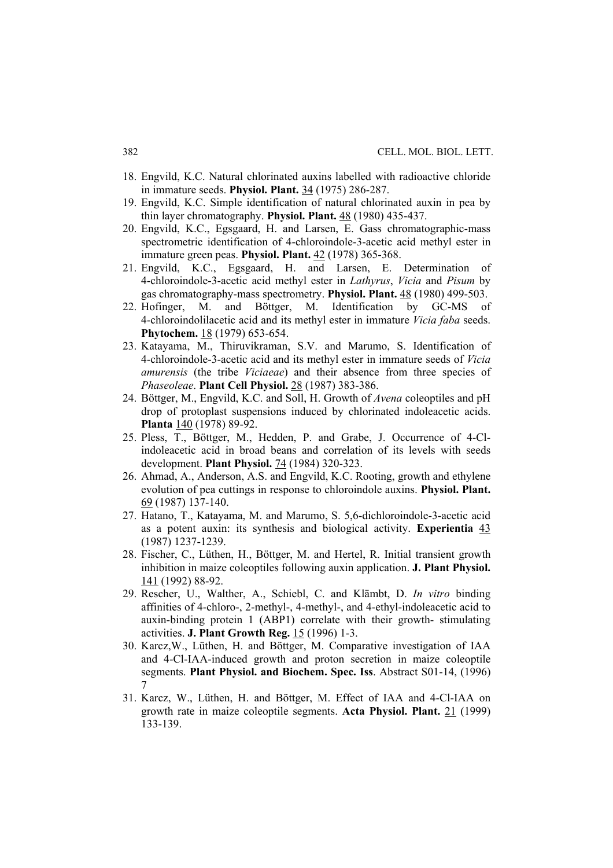- 18. Engvild, K.C. Natural chlorinated auxins labelled with radioactive chloride in immature seeds. **Physiol. Plant.** 34 (1975) 286-287.
- 19. Engvild, K.C. Simple identification of natural chlorinated auxin in pea by thin layer chromatography. **Physiol. Plant.** 48 (1980) 435-437.
- 20. Engvild, K.C., Egsgaard, H. and Larsen, E. Gass chromatographic-mass spectrometric identification of 4-chloroindole-3-acetic acid methyl ester in immature green peas. **Physiol. Plant.** 42 (1978) 365-368.
- 21. Engvild, K.C., Egsgaard, H. and Larsen, E. Determination of 4-chloroindole-3-acetic acid methyl ester in *Lathyrus*, *Vicia* and *Pisum* by gas chromatography-mass spectrometry. **Physiol. Plant.** 48 (1980) 499-503.
- 22. Hofinger, M. and Böttger, M. Identification by GC-MS of 4-chloroindolilacetic acid and its methyl ester in immature *Vicia faba* seeds. **Phytochem.** 18 (1979) 653-654.
- 23. Katayama, M., Thiruvikraman, S.V. and Marumo, S. Identification of 4-chloroindole-3-acetic acid and its methyl ester in immature seeds of *Vicia amurensis* (the tribe *Viciaeae*) and their absence from three species of *Phaseoleae*. **Plant Cell Physiol.** 28 (1987) 383-386.
- 24. Böttger, M., Engvild, K.C. and Soll, H. Growth of *Avena* coleoptiles and pH drop of protoplast suspensions induced by chlorinated indoleacetic acids. **Planta** 140 (1978) 89-92.
- 25. Pless, T., Böttger, M., Hedden, P. and Grabe, J. Occurrence of 4-Clindoleacetic acid in broad beans and correlation of its levels with seeds development. **Plant Physiol.** 74 (1984) 320-323.
- 26. Ahmad, A., Anderson, A.S. and Engvild, K.C. Rooting, growth and ethylene evolution of pea cuttings in response to chloroindole auxins. **Physiol. Plant.** 69 (1987) 137-140.
- 27. Hatano, T., Katayama, M. and Marumo, S. 5,6-dichloroindole-3-acetic acid as a potent auxin: its synthesis and biological activity. **Experientia** 43 (1987) 1237-1239.
- 28. Fischer, C., Lüthen, H., Böttger, M. and Hertel, R. Initial transient growth inhibition in maize coleoptiles following auxin application. **J. Plant Physiol.** 141 (1992) 88-92.
- 29. Rescher, U., Walther, A., Schiebl, C. and Klämbt, D. *In vitro* binding affinities of 4-chloro-, 2-methyl-, 4-methyl-, and 4-ethyl-indoleacetic acid to auxin-binding protein 1 (ABP1) correlate with their growth- stimulating activities. **J. Plant Growth Reg.** 15 (1996) 1-3.
- 30. Karcz,W., Lüthen, H. and Böttger, M. Comparative investigation of IAA and 4-Cl-IAA-induced growth and proton secretion in maize coleoptile segments. **Plant Physiol. and Biochem. Spec. Iss**. Abstract S01-14, (1996) 7
- 31. Karcz, W., Lüthen, H. and Böttger, M. Effect of IAA and 4-Cl-IAA on growth rate in maize coleoptile segments. **Acta Physiol. Plant.** 21 (1999) 133-139.